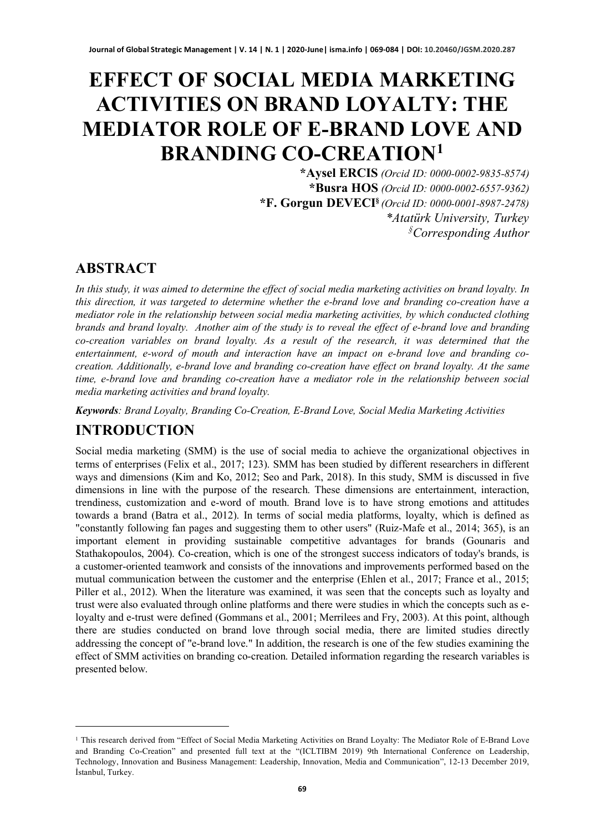# **EFFECT OF SOCIAL MEDIA MARKETING ACTIVITIES ON BRAND LOYALTY: THE MEDIATOR ROLE OF E-BRAND LOVE AND BRANDING CO-CREATION[1](#page-0-0)**

**\*Aysel ERCIS** *(Orcid ID: 0000-0002-9835-8574)* **\*Busra HOS** *(Orcid ID: 0000-0002-6557-9362)* **\*F. Gorgun DEVECI§** *(Orcid ID: 0000-0001-8987-2478) \*Atatürk University, Turkey § Corresponding Author*

#### **ABSTRACT**

*In this study, it was aimed to determine the effect of social media marketing activities on brand loyalty. In this direction, it was targeted to determine whether the e-brand love and branding co-creation have a mediator role in the relationship between social media marketing activities, by which conducted clothing brands and brand loyalty. Another aim of the study is to reveal the effect of e-brand love and branding co-creation variables on brand loyalty. As a result of the research, it was determined that the entertainment, e-word of mouth and interaction have an impact on e-brand love and branding cocreation. Additionally, e-brand love and branding co-creation have effect on brand loyalty. At the same time, e-brand love and branding co-creation have a mediator role in the relationship between social media marketing activities and brand loyalty.*

*Keywords: Brand Loyalty, Branding Co-Creation, E-Brand Love, Social Media Marketing Activities*

#### **INTRODUCTION**

Social media marketing (SMM) is the use of social media to achieve the organizational objectives in terms of enterprises (Felix et al., 2017; 123). SMM has been studied by different researchers in different ways and dimensions (Kim and Ko, 2012; Seo and Park, 2018). In this study, SMM is discussed in five dimensions in line with the purpose of the research. These dimensions are entertainment, interaction, trendiness, customization and e-word of mouth. Brand love is to have strong emotions and attitudes towards a brand (Batra et al., 2012). In terms of social media platforms, loyalty, which is defined as "constantly following fan pages and suggesting them to other users" (Ruiz-Mafe et al., 2014; 365), is an important element in providing sustainable competitive advantages for brands (Gounaris and Stathakopoulos, 2004). Co-creation, which is one of the strongest success indicators of today's brands, is a customer-oriented teamwork and consists of the innovations and improvements performed based on the mutual communication between the customer and the enterprise (Ehlen et al., 2017; France et al., 2015; Piller et al., 2012). When the literature was examined, it was seen that the concepts such as loyalty and trust were also evaluated through online platforms and there were studies in which the concepts such as eloyalty and e-trust were defined (Gommans et al., 2001; Merrilees and Fry, 2003). At this point, although there are studies conducted on brand love through social media, there are limited studies directly addressing the concept of "e-brand love." In addition, the research is one of the few studies examining the effect of SMM activities on branding co-creation. Detailed information regarding the research variables is presented below.

<span id="page-0-0"></span><sup>&</sup>lt;sup>1</sup> This research derived from "Effect of Social Media Marketing Activities on Brand Loyalty: The Mediator Role of E-Brand Love and Branding Co-Creation" and presented full text at the "(ICLTIBM 2019) 9th International Conference on Leadership, Technology, Innovation and Business Management: Leadership, Innovation, Media and Communication", 12-13 December 2019, İstanbul, Turkey.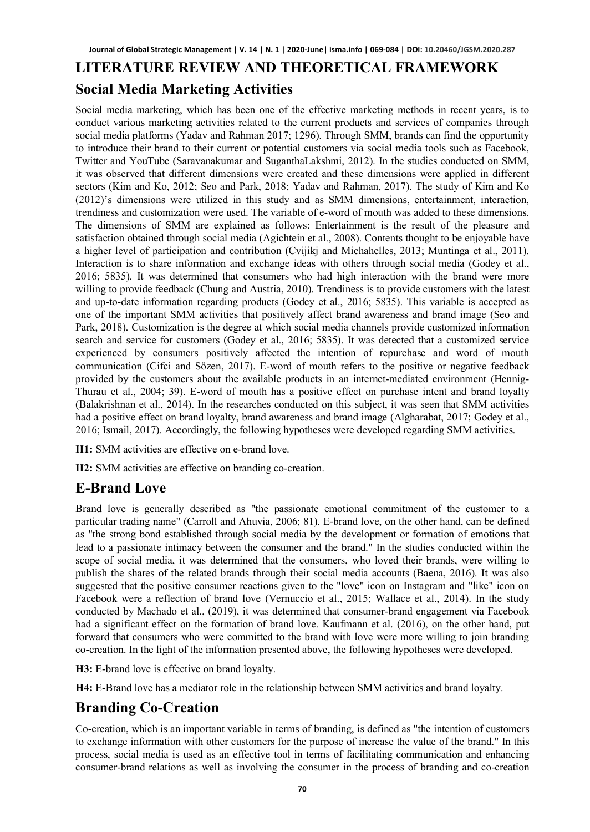# **LITERATURE REVIEW AND THEORETICAL FRAMEWORK Social Media Marketing Activities**

Social media marketing, which has been one of the effective marketing methods in recent years, is to conduct various marketing activities related to the current products and services of companies through social media platforms (Yadav and Rahman 2017; 1296). Through SMM, brands can find the opportunity to introduce their brand to their current or potential customers via social media tools such as Facebook, Twitter and YouTube (Saravanakumar and SuganthaLakshmi, 2012). In the studies conducted on SMM, it was observed that different dimensions were created and these dimensions were applied in different sectors (Kim and Ko, 2012; Seo and Park, 2018; Yadav and Rahman, 2017). The study of Kim and Ko (2012)'s dimensions were utilized in this study and as SMM dimensions, entertainment, interaction, trendiness and customization were used. The variable of e-word of mouth was added to these dimensions. The dimensions of SMM are explained as follows: Entertainment is the result of the pleasure and satisfaction obtained through social media (Agichtein et al., 2008). Contents thought to be enjoyable have a higher level of participation and contribution (Cvijikj and Michahelles, 2013; Muntinga et al., 2011). Interaction is to share information and exchange ideas with others through social media (Godey et al., 2016; 5835). It was determined that consumers who had high interaction with the brand were more willing to provide feedback (Chung and Austria, 2010). Trendiness is to provide customers with the latest and up-to-date information regarding products (Godey et al., 2016; 5835). This variable is accepted as one of the important SMM activities that positively affect brand awareness and brand image (Seo and Park, 2018). Customization is the degree at which social media channels provide customized information search and service for customers (Godey et al., 2016; 5835). It was detected that a customized service experienced by consumers positively affected the intention of repurchase and word of mouth communication (Cifci and Sözen, 2017). E-word of mouth refers to the positive or negative feedback provided by the customers about the available products in an internet-mediated environment (Hennig-Thurau et al., 2004; 39). E-word of mouth has a positive effect on purchase intent and brand loyalty (Balakrishnan et al., 2014). In the researches conducted on this subject, it was seen that SMM activities had a positive effect on brand loyalty, brand awareness and brand image (Algharabat, 2017; Godey et al., 2016; Ismail, 2017). Accordingly, the following hypotheses were developed regarding SMM activities.

**H1:** SMM activities are effective on e-brand love.

**H2:** SMM activities are effective on branding co-creation.

#### **E-Brand Love**

Brand love is generally described as "the passionate emotional commitment of the customer to a particular trading name" (Carroll and Ahuvia, 2006; 81). E-brand love, on the other hand, can be defined as "the strong bond established through social media by the development or formation of emotions that lead to a passionate intimacy between the consumer and the brand." In the studies conducted within the scope of social media, it was determined that the consumers, who loved their brands, were willing to publish the shares of the related brands through their social media accounts (Baena, 2016). It was also suggested that the positive consumer reactions given to the "love" icon on Instagram and "like" icon on Facebook were a reflection of brand love (Vernuccio et al., 2015; Wallace et al., 2014). In the study conducted by Machado et al., (2019), it was determined that consumer-brand engagement via Facebook had a significant effect on the formation of brand love. Kaufmann et al. (2016), on the other hand, put forward that consumers who were committed to the brand with love were more willing to join branding co-creation. In the light of the information presented above, the following hypotheses were developed.

**H3:** E-brand love is effective on brand loyalty.

**H4:** E-Brand love has a mediator role in the relationship between SMM activities and brand loyalty.

## **Branding Co-Creation**

Co-creation, which is an important variable in terms of branding, is defined as "the intention of customers to exchange information with other customers for the purpose of increase the value of the brand." In this process, social media is used as an effective tool in terms of facilitating communication and enhancing consumer-brand relations as well as involving the consumer in the process of branding and co-creation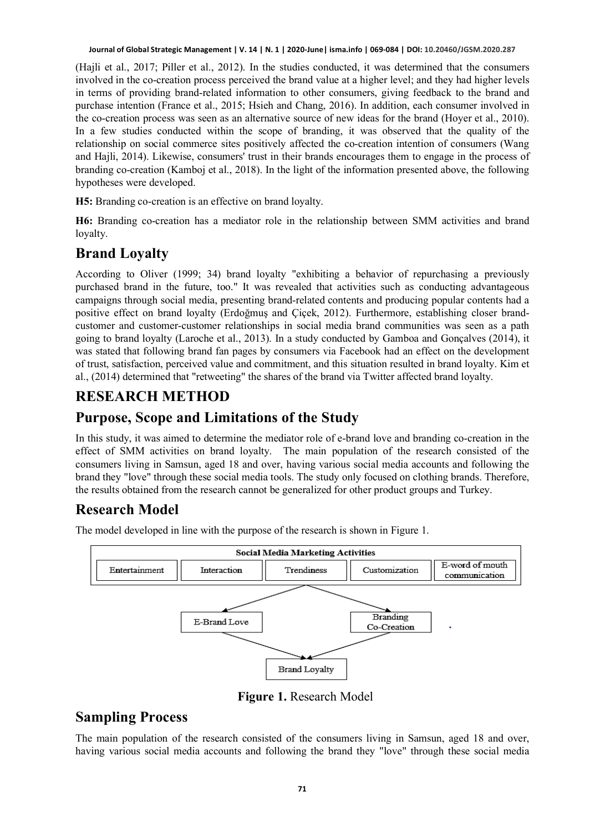(Hajli et al., 2017; Piller et al., 2012). In the studies conducted, it was determined that the consumers involved in the co-creation process perceived the brand value at a higher level; and they had higher levels in terms of providing brand-related information to other consumers, giving feedback to the brand and purchase intention (France et al., 2015; Hsieh and Chang, 2016). In addition, each consumer involved in the co-creation process was seen as an alternative source of new ideas for the brand (Hoyer et al., 2010). In a few studies conducted within the scope of branding, it was observed that the quality of the relationship on social commerce sites positively affected the co-creation intention of consumers (Wang and Hajli, 2014). Likewise, consumers' trust in their brands encourages them to engage in the process of branding co-creation (Kamboj et al., 2018). In the light of the information presented above, the following hypotheses were developed.

**H5:** Branding co-creation is an effective on brand loyalty.

**H6:** Branding co-creation has a mediator role in the relationship between SMM activities and brand loyalty.

## **Brand Loyalty**

According to Oliver (1999; 34) brand loyalty "exhibiting a behavior of repurchasing a previously purchased brand in the future, too." It was revealed that activities such as conducting advantageous campaigns through social media, presenting brand-related contents and producing popular contents had a positive effect on brand loyalty (Erdoğmuş and Çiçek, 2012). Furthermore, establishing closer brandcustomer and customer-customer relationships in social media brand communities was seen as a path going to brand loyalty (Laroche et al., 2013). In a study conducted by Gamboa and Gonçalves (2014), it was stated that following brand fan pages by consumers via Facebook had an effect on the development of trust, satisfaction, perceived value and commitment, and this situation resulted in brand loyalty. Kim et al., (2014) determined that "retweeting" the shares of the brand via Twitter affected brand loyalty.

### **RESEARCH METHOD**

#### **Purpose, Scope and Limitations of the Study**

In this study, it was aimed to determine the mediator role of e-brand love and branding co-creation in the effect of SMM activities on brand loyalty. The main population of the research consisted of the consumers living in Samsun, aged 18 and over, having various social media accounts and following the brand they "love" through these social media tools. The study only focused on clothing brands. Therefore, the results obtained from the research cannot be generalized for other product groups and Turkey.

# **Research Model**

The model developed in line with the purpose of the research is shown in Figure 1.



**Figure 1.** Research Model

#### **Sampling Process**

The main population of the research consisted of the consumers living in Samsun, aged 18 and over, having various social media accounts and following the brand they "love" through these social media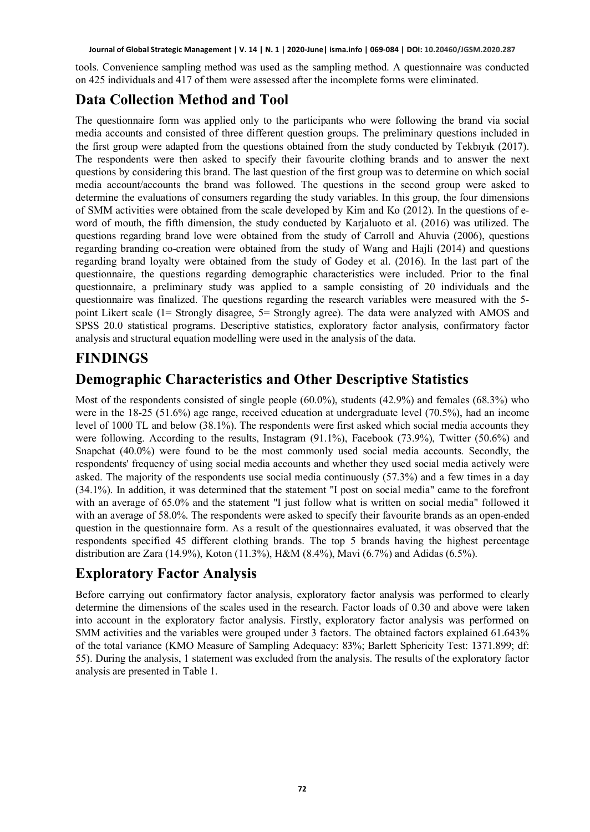tools. Convenience sampling method was used as the sampling method. A questionnaire was conducted on 425 individuals and 417 of them were assessed after the incomplete forms were eliminated.

### **Data Collection Method and Tool**

The questionnaire form was applied only to the participants who were following the brand via social media accounts and consisted of three different question groups. The preliminary questions included in the first group were adapted from the questions obtained from the study conducted by Tekbıyık (2017). The respondents were then asked to specify their favourite clothing brands and to answer the next questions by considering this brand. The last question of the first group was to determine on which social media account/accounts the brand was followed. The questions in the second group were asked to determine the evaluations of consumers regarding the study variables. In this group, the four dimensions of SMM activities were obtained from the scale developed by Kim and Ko (2012). In the questions of eword of mouth, the fifth dimension, the study conducted by Karjaluoto et al. (2016) was utilized. The questions regarding brand love were obtained from the study of Carroll and Ahuvia (2006), questions regarding branding co-creation were obtained from the study of Wang and Hajli (2014) and questions regarding brand loyalty were obtained from the study of Godey et al. (2016). In the last part of the questionnaire, the questions regarding demographic characteristics were included. Prior to the final questionnaire, a preliminary study was applied to a sample consisting of 20 individuals and the questionnaire was finalized. The questions regarding the research variables were measured with the 5 point Likert scale (1= Strongly disagree, 5= Strongly agree). The data were analyzed with AMOS and SPSS 20.0 statistical programs. Descriptive statistics, exploratory factor analysis, confirmatory factor analysis and structural equation modelling were used in the analysis of the data.

#### **FINDINGS**

### **Demographic Characteristics and Other Descriptive Statistics**

Most of the respondents consisted of single people (60.0%), students (42.9%) and females (68.3%) who were in the 18-25 (51.6%) age range, received education at undergraduate level (70.5%), had an income level of 1000 TL and below (38.1%). The respondents were first asked which social media accounts they were following. According to the results, Instagram (91.1%), Facebook (73.9%), Twitter (50.6%) and Snapchat (40.0%) were found to be the most commonly used social media accounts. Secondly, the respondents' frequency of using social media accounts and whether they used social media actively were asked. The majority of the respondents use social media continuously (57.3%) and a few times in a day (34.1%). In addition, it was determined that the statement "I post on social media" came to the forefront with an average of 65.0% and the statement "I just follow what is written on social media" followed it with an average of 58.0%. The respondents were asked to specify their favourite brands as an open-ended question in the questionnaire form. As a result of the questionnaires evaluated, it was observed that the respondents specified 45 different clothing brands. The top 5 brands having the highest percentage distribution are Zara (14.9%), Koton (11.3%), H&M (8.4%), Mavi (6.7%) and Adidas (6.5%).

## **Exploratory Factor Analysis**

Before carrying out confirmatory factor analysis, exploratory factor analysis was performed to clearly determine the dimensions of the scales used in the research. Factor loads of 0.30 and above were taken into account in the exploratory factor analysis. Firstly, exploratory factor analysis was performed on SMM activities and the variables were grouped under 3 factors. The obtained factors explained 61.643% of the total variance (KMO Measure of Sampling Adequacy: 83%; Barlett Sphericity Test: 1371.899; df: 55). During the analysis, 1 statement was excluded from the analysis. The results of the exploratory factor analysis are presented in Table 1.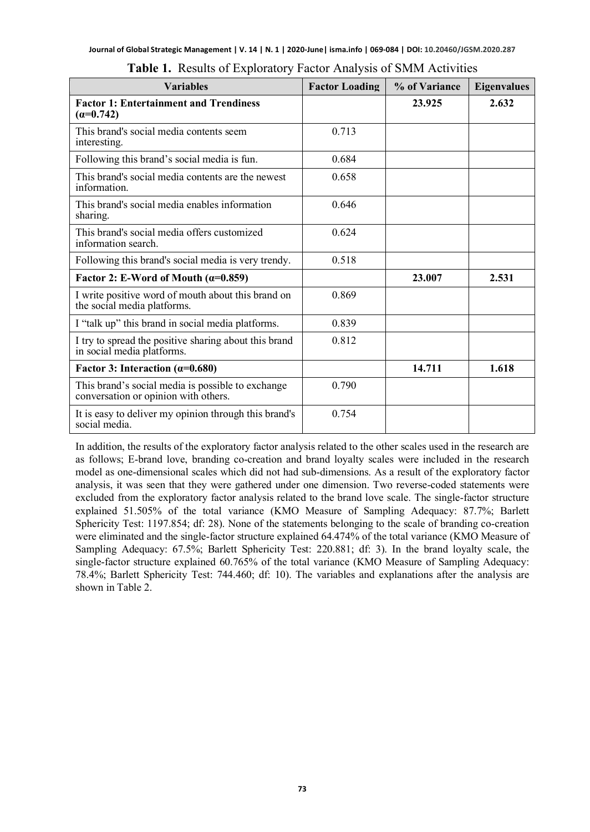| <b>Variables</b>                                                                          | <b>Factor Loading</b> | % of Variance | <b>Eigenvalues</b> |
|-------------------------------------------------------------------------------------------|-----------------------|---------------|--------------------|
| <b>Factor 1: Entertainment and Trendiness</b><br>$(\alpha=0.742)$                         |                       | 23.925        | 2.632              |
| This brand's social media contents seem<br>interesting.                                   | 0.713                 |               |                    |
| Following this brand's social media is fun.                                               | 0.684                 |               |                    |
| This brand's social media contents are the newest<br>information.                         | 0.658                 |               |                    |
| This brand's social media enables information<br>sharing.                                 | 0.646                 |               |                    |
| This brand's social media offers customized<br>information search.                        | 0.624                 |               |                    |
| Following this brand's social media is very trendy.                                       | 0.518                 |               |                    |
| Factor 2: E-Word of Mouth $(\alpha=0.859)$                                                |                       | 23.007        | 2.531              |
| I write positive word of mouth about this brand on<br>the social media platforms.         | 0.869                 |               |                    |
| I "talk up" this brand in social media platforms.                                         | 0.839                 |               |                    |
| I try to spread the positive sharing about this brand<br>in social media platforms.       | 0.812                 |               |                    |
| Factor 3: Interaction $(\alpha=0.680)$                                                    |                       | 14.711        | 1.618              |
| This brand's social media is possible to exchange<br>conversation or opinion with others. | 0.790                 |               |                    |
| It is easy to deliver my opinion through this brand's<br>social media.                    | 0.754                 |               |                    |

**Table 1.** Results of Exploratory Factor Analysis of SMM Activities

In addition, the results of the exploratory factor analysis related to the other scales used in the research are as follows; E-brand love, branding co-creation and brand loyalty scales were included in the research model as one-dimensional scales which did not had sub-dimensions. As a result of the exploratory factor analysis, it was seen that they were gathered under one dimension. Two reverse-coded statements were excluded from the exploratory factor analysis related to the brand love scale. The single-factor structure explained 51.505% of the total variance (KMO Measure of Sampling Adequacy: 87.7%; Barlett Sphericity Test: 1197.854; df: 28). None of the statements belonging to the scale of branding co-creation were eliminated and the single-factor structure explained 64.474% of the total variance (KMO Measure of Sampling Adequacy: 67.5%; Barlett Sphericity Test: 220.881; df: 3). In the brand loyalty scale, the single-factor structure explained 60.765% of the total variance (KMO Measure of Sampling Adequacy: 78.4%; Barlett Sphericity Test: 744.460; df: 10). The variables and explanations after the analysis are shown in Table 2.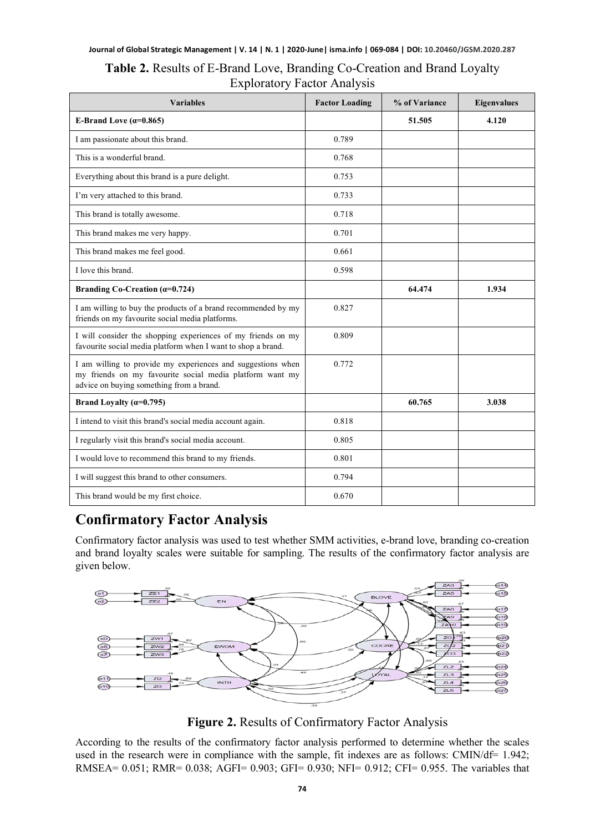#### **Table 2.** Results of E-Brand Love, Branding Co-Creation and Brand Loyalty Exploratory Factor Analysis

| <b>Variables</b>                                                                                                                                                    | <b>Factor Loading</b> | % of Variance | <b>Eigenvalues</b> |
|---------------------------------------------------------------------------------------------------------------------------------------------------------------------|-----------------------|---------------|--------------------|
| E-Brand Love $(\alpha=0.865)$                                                                                                                                       |                       | 51.505        | 4.120              |
| I am passionate about this brand.                                                                                                                                   | 0.789                 |               |                    |
| This is a wonderful brand.                                                                                                                                          | 0.768                 |               |                    |
| Everything about this brand is a pure delight.                                                                                                                      | 0.753                 |               |                    |
| I'm very attached to this brand.                                                                                                                                    | 0.733                 |               |                    |
| This brand is totally awesome.                                                                                                                                      | 0.718                 |               |                    |
| This brand makes me very happy.                                                                                                                                     | 0.701                 |               |                    |
| This brand makes me feel good.                                                                                                                                      | 0.661                 |               |                    |
| I love this brand.                                                                                                                                                  | 0.598                 |               |                    |
| Branding Co-Creation $(\alpha=0.724)$                                                                                                                               |                       | 64.474        | 1.934              |
| I am willing to buy the products of a brand recommended by my<br>friends on my favourite social media platforms.                                                    | 0.827                 |               |                    |
| I will consider the shopping experiences of my friends on my<br>favourite social media platform when I want to shop a brand.                                        | 0.809                 |               |                    |
| I am willing to provide my experiences and suggestions when<br>my friends on my favourite social media platform want my<br>advice on buying something from a brand. | 0.772                 |               |                    |
| Brand Loyalty $(\alpha=0.795)$                                                                                                                                      |                       | 60.765        | 3.038              |
| I intend to visit this brand's social media account again.                                                                                                          | 0.818                 |               |                    |
| I regularly visit this brand's social media account.                                                                                                                | 0.805                 |               |                    |
| I would love to recommend this brand to my friends.                                                                                                                 | 0.801                 |               |                    |
| I will suggest this brand to other consumers.                                                                                                                       | 0.794                 |               |                    |
| This brand would be my first choice.                                                                                                                                | 0.670                 |               |                    |

## **Confirmatory Factor Analysis**

Confirmatory factor analysis was used to test whether SMM activities, e-brand love, branding co-creation and brand loyalty scales were suitable for sampling. The results of the confirmatory factor analysis are given below.



**Figure 2.** Results of Confirmatory Factor Analysis

According to the results of the confirmatory factor analysis performed to determine whether the scales used in the research were in compliance with the sample, fit indexes are as follows: CMIN/df= 1.942; RMSEA= 0.051; RMR= 0.038; AGFI= 0.903; GFI= 0.930; NFI= 0.912; CFI= 0.955. The variables that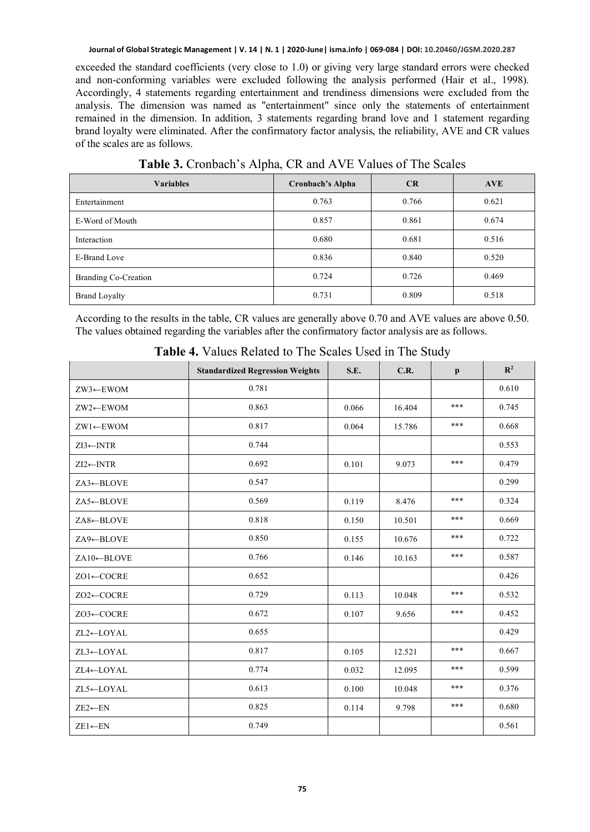exceeded the standard coefficients (very close to 1.0) or giving very large standard errors were checked and non-conforming variables were excluded following the analysis performed (Hair et al., 1998). Accordingly, 4 statements regarding entertainment and trendiness dimensions were excluded from the analysis. The dimension was named as "entertainment" since only the statements of entertainment remained in the dimension. In addition, 3 statements regarding brand love and 1 statement regarding brand loyalty were eliminated. After the confirmatory factor analysis, the reliability, AVE and CR values of the scales are as follows.

| <b>Variables</b>     | Cronbach's Alpha | <b>CR</b> | <b>AVE</b> |
|----------------------|------------------|-----------|------------|
| Entertainment        | 0.763            | 0.766     | 0.621      |
| E-Word of Mouth      | 0.857            | 0.861     | 0.674      |
| Interaction          | 0.680            | 0.681     | 0.516      |
| E-Brand Love         | 0.836            | 0.840     | 0.520      |
| Branding Co-Creation | 0.724            | 0.726     | 0.469      |
| <b>Brand Loyalty</b> | 0.731            | 0.809     | 0.518      |

**Table 3.** Cronbach's Alpha, CR and AVE Values of The Scales

According to the results in the table, CR values are generally above 0.70 and AVE values are above 0.50. The values obtained regarding the variables after the confirmatory factor analysis are as follows.

|                        | <b>Standardized Regression Weights</b> | S.E.  | C.R.   | $\mathbf{p}$ | $\mathbf{R}^2$ |
|------------------------|----------------------------------------|-------|--------|--------------|----------------|
| $ZW3 \leftarrow$ EWOM  | 0.781                                  |       |        |              | 0.610          |
| ZW2←EWOM               | 0.863                                  | 0.066 | 16.404 | ***          | 0.745          |
| $ZW1 \leftarrow EWOM$  | 0.817                                  | 0.064 | 15.786 | ***          | 0.668          |
| $ZI3 \leftarrow INTR$  | 0.744                                  |       |        |              | 0.553          |
| $ZI2 \leftarrow INTR$  | 0.692                                  | 0.101 | 9.073  | ***          | 0.479          |
| $ZA3 \leftarrow BLOVE$ | 0.547                                  |       |        |              | 0.299          |
| ZA5←BLOVE              | 0.569                                  | 0.119 | 8.476  | ***          | 0.324          |
| $ZA8 \leftarrow BLOVE$ | 0.818                                  | 0.150 | 10.501 | ***          | 0.669          |
| ZA9←BLOVE              | 0.850                                  | 0.155 | 10.676 | ***          | 0.722          |
| $ZA10\leftarrow BLOVE$ | 0.766                                  | 0.146 | 10.163 | ***          | 0.587          |
| $ZO1 \leftarrow COCRE$ | 0.652                                  |       |        |              | 0.426          |
| ZO2←COCRE              | 0.729                                  | 0.113 | 10.048 | ***          | 0.532          |
| ZO3←COCRE              | 0.672                                  | 0.107 | 9.656  | ***          | 0.452          |
| ZL2←LOYAL              | 0.655                                  |       |        |              | 0.429          |
| ZL3←LOYAL              | 0.817                                  | 0.105 | 12.521 | ***          | 0.667          |
| ZL4←LOYAL              | 0.774                                  | 0.032 | 12.095 | ***          | 0.599          |
| ZL5←LOYAL              | 0.613                                  | 0.100 | 10.048 | ***          | 0.376          |
| $ZE2 \leftarrow EN$    | 0.825                                  | 0.114 | 9.798  | ***          | 0.680          |
| $ZE1 \leftarrow EN$    | 0.749                                  |       |        |              | 0.561          |

**Table 4.** Values Related to The Scales Used in The Study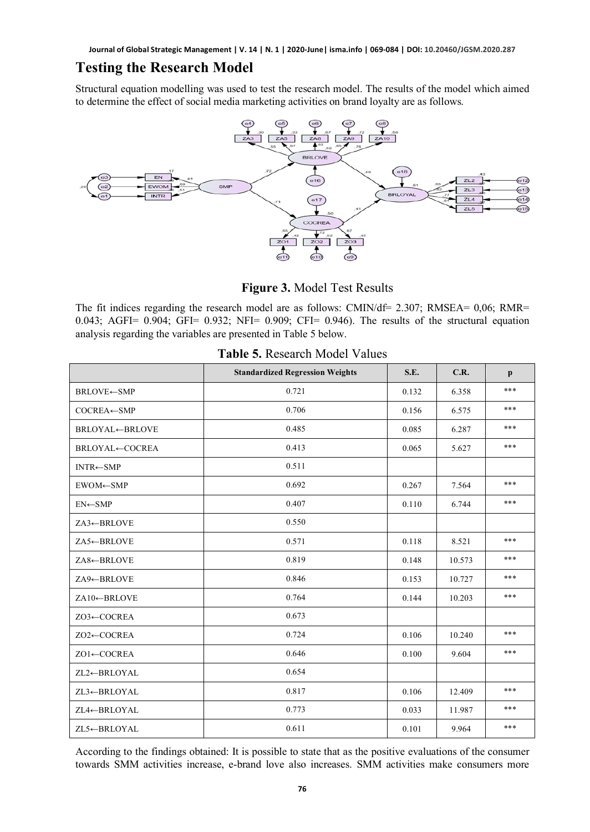#### **Testing the Research Model**

Structural equation modelling was used to test the research model. The results of the model which aimed to determine the effect of social media marketing activities on brand loyalty are as follows.



**Figure 3.** Model Test Results

The fit indices regarding the research model are as follows: CMIN/df= 2.307; RMSEA=  $0.06$ ; RMR= 0.043; AGFI= 0.904; GFI= 0.932; NFI= 0.909; CFI= 0.946). The results of the structural equation analysis regarding the variables are presented in Table 5 below.

|                         | <b>Standardized Regression Weights</b> | S.E.  | C.R.   | $\mathbf{p}$ |
|-------------------------|----------------------------------------|-------|--------|--------------|
| <b>BRLOVE←SMP</b>       | 0.721                                  | 0.132 | 6.358  | ***          |
| $COCREA \leftarrow SMP$ | 0.706                                  | 0.156 | 6.575  | ***          |
| <b>BRLOYAL←BRLOVE</b>   | 0.485                                  | 0.085 | 6.287  | ***          |
| <b>BRLOYAL←COCREA</b>   | 0.413                                  | 0.065 | 5.627  | ***          |
| $INTR \leftarrow SMP$   | 0.511                                  |       |        |              |
| EWOM←SMP                | 0.692                                  | 0.267 | 7.564  | ***          |
| $EN \leftarrow$ SMP     | 0.407                                  | 0.110 | 6.744  | ***          |
| ZA3←BRLOVE              | 0.550                                  |       |        |              |
| ZA5←BRLOVE              | 0.571                                  | 0.118 | 8.521  | ***          |
| ZA8←BRLOVE              | 0.819                                  | 0.148 | 10.573 | ***          |
| ZA9←BRLOVE              | 0.846                                  | 0.153 | 10.727 | ***          |
| $ZA10\leftarrow$ BRLOVE | 0.764                                  | 0.144 | 10.203 | ***          |
| ZO3←COCREA              | 0.673                                  |       |        |              |
| ZO2←COCREA              | 0.724                                  | 0.106 | 10.240 | ***          |
| ZO1←COCREA              | 0.646                                  | 0.100 | 9.604  | ***          |
| ZL2←BRLOYAL             | 0.654                                  |       |        |              |
| ZL3←BRLOYAL             | 0.817                                  | 0.106 | 12.409 | ***          |
| ZL4←BRLOYAL             | 0.773                                  | 0.033 | 11.987 | ***          |
| ZL5←BRLOYAL             | 0.611                                  | 0.101 | 9.964  | ***          |

|  | Table 5. Research Model Values |  |  |
|--|--------------------------------|--|--|
|--|--------------------------------|--|--|

According to the findings obtained: It is possible to state that as the positive evaluations of the consumer towards SMM activities increase, e-brand love also increases. SMM activities make consumers more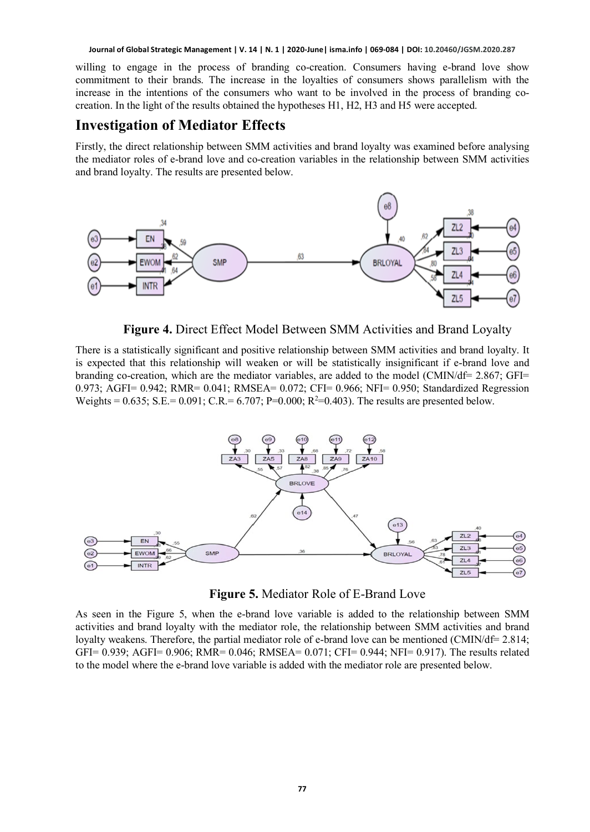willing to engage in the process of branding co-creation. Consumers having e-brand love show commitment to their brands. The increase in the loyalties of consumers shows parallelism with the increase in the intentions of the consumers who want to be involved in the process of branding cocreation. In the light of the results obtained the hypotheses H1, H2, H3 and H5 were accepted.

#### **Investigation of Mediator Effects**

Firstly, the direct relationship between SMM activities and brand loyalty was examined before analysing the mediator roles of e-brand love and co-creation variables in the relationship between SMM activities and brand loyalty. The results are presented below.



**Figure 4.** Direct Effect Model Between SMM Activities and Brand Loyalty

There is a statistically significant and positive relationship between SMM activities and brand loyalty. It is expected that this relationship will weaken or will be statistically insignificant if e-brand love and branding co-creation, which are the mediator variables, are added to the model (CMIN/df= 2.867; GFI= 0.973; AGFI= 0.942; RMR= 0.041; RMSEA= 0.072; CFI= 0.966; NFI= 0.950; Standardized Regression Weights = 0.635; S.E.= 0.091; C.R.= 6.707; P=0.000; R<sup>2</sup>=0.403). The results are presented below.



**Figure 5.** Mediator Role of E-Brand Love

As seen in the Figure 5, when the e-brand love variable is added to the relationship between SMM activities and brand loyalty with the mediator role, the relationship between SMM activities and brand loyalty weakens. Therefore, the partial mediator role of e-brand love can be mentioned (CMIN/df= 2.814; GFI= 0.939; AGFI= 0.906; RMR= 0.046; RMSEA= 0.071; CFI= 0.944; NFI= 0.917). The results related to the model where the e-brand love variable is added with the mediator role are presented below.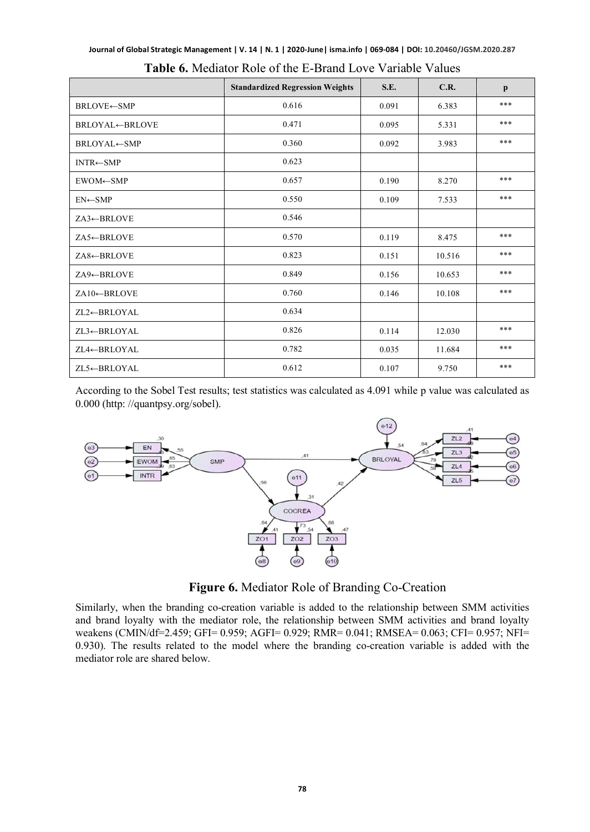|  |  | Journal of Global Strategic Management   V. 14   N. 1   2020-June  isma.info   069-084   DOI: 10.20460/JGSM.2020.287 |
|--|--|----------------------------------------------------------------------------------------------------------------------|
|--|--|----------------------------------------------------------------------------------------------------------------------|

|                          | <b>Standardized Regression Weights</b> | S.E.  | C.R.   | $\mathbf{p}$ |
|--------------------------|----------------------------------------|-------|--------|--------------|
| <b>BRLOVE←SMP</b>        | 0.616                                  | 0.091 | 6.383  | ***          |
| <b>BRLOYAL←BRLOVE</b>    | 0.471                                  | 0.095 | 5.331  | ***          |
| BRLOYAL←SMP              | 0.360                                  | 0.092 | 3.983  | ***          |
| $INTR \leftarrow SMP$    | 0.623                                  |       |        |              |
| $EWOM \leftarrow$ SMP    | 0.657                                  | 0.190 | 8.270  | ***          |
| $EN \leftarrow$ SMP      | 0.550                                  | 0.109 | 7.533  | ***          |
| ZA3←BRLOVE               | 0.546                                  |       |        |              |
| ZA5←BRLOVE               | 0.570                                  | 0.119 | 8.475  | ***          |
| ZA8←BRLOVE               | 0.823                                  | 0.151 | 10.516 | ***          |
| ZA9←BRLOVE               | 0.849                                  | 0.156 | 10.653 | ***          |
| $ZA10 \leftarrow BRLOVE$ | 0.760                                  | 0.146 | 10.108 | ***          |
| ZL2←BRLOYAL              | 0.634                                  |       |        |              |
| ZL3←BRLOYAL              | 0.826                                  | 0.114 | 12.030 | ***          |
| ZL4←BRLOYAL              | 0.782                                  | 0.035 | 11.684 | ***          |
| ZL5←BRLOYAL              | 0.612                                  | 0.107 | 9.750  | ***          |

| Table 6. Mediator Role of the E-Brand Love Variable Values |  |
|------------------------------------------------------------|--|
|------------------------------------------------------------|--|

According to the Sobel Test results; test statistics was calculated as 4.091 while p value was calculated as 0.000 (http: //quantpsy.org/sobel).



**Figure 6.** Mediator Role of Branding Co-Creation

Similarly, when the branding co-creation variable is added to the relationship between SMM activities and brand loyalty with the mediator role, the relationship between SMM activities and brand loyalty weakens (CMIN/df=2.459; GFI= 0.959; AGFI= 0.929; RMR= 0.041; RMSEA= 0.063; CFI= 0.957; NFI= 0.930). The results related to the model where the branding co-creation variable is added with the mediator role are shared below.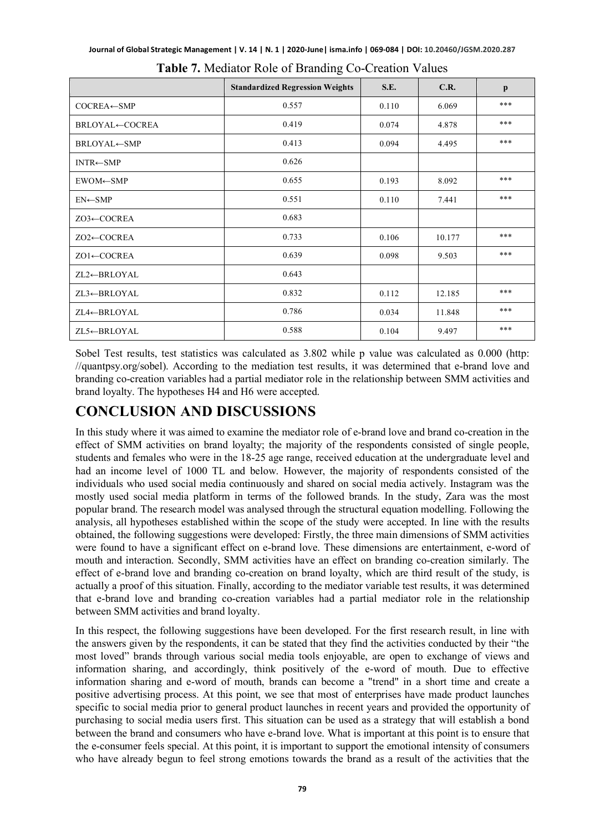|                          | <b>Standardized Regression Weights</b> | S.E.  | C.R.   | $\mathbf{p}$ |
|--------------------------|----------------------------------------|-------|--------|--------------|
| $COCREA \leftarrow SMP$  | 0.557                                  | 0.110 | 6.069  | ***          |
| <b>BRLOYAL←COCREA</b>    | 0.419                                  | 0.074 | 4.878  | ***          |
| BRLOYAL←SMP              | 0.413                                  | 0.094 | 4.495  | ***          |
| $INTR \leftarrow SMP$    | 0.626                                  |       |        |              |
| EWOM←SMP                 | 0.655                                  | 0.193 | 8.092  | ***          |
| $EN \leftarrow$ SMP      | 0.551                                  | 0.110 | 7.441  | ***          |
| $ZO3 \leftarrow COCREA$  | 0.683                                  |       |        |              |
| $ZO2 \leftarrow COCREA$  | 0.733                                  | 0.106 | 10.177 | ***          |
| $ZO1 \leftarrow COCREA$  | 0.639                                  | 0.098 | 9.503  | ***          |
| $ZL2 \leftarrow BRLOYAL$ | 0.643                                  |       |        |              |
| $ZL3 \leftarrow BRLOYAL$ | 0.832                                  | 0.112 | 12.185 | ***          |
| ZL4←BRLOYAL              | 0.786                                  | 0.034 | 11.848 | ***          |
| ZL5←BRLOYAL              | 0.588                                  | 0.104 | 9.497  | ***          |

|  |  |  |  | Table 7. Mediator Role of Branding Co-Creation Values |  |
|--|--|--|--|-------------------------------------------------------|--|
|--|--|--|--|-------------------------------------------------------|--|

Sobel Test results, test statistics was calculated as 3.802 while p value was calculated as 0.000 (http: //quantpsy.org/sobel). According to the mediation test results, it was determined that e-brand love and branding co-creation variables had a partial mediator role in the relationship between SMM activities and brand loyalty. The hypotheses H4 and H6 were accepted.

#### **CONCLUSION AND DISCUSSIONS**

In this study where it was aimed to examine the mediator role of e-brand love and brand co-creation in the effect of SMM activities on brand loyalty; the majority of the respondents consisted of single people, students and females who were in the 18-25 age range, received education at the undergraduate level and had an income level of 1000 TL and below. However, the majority of respondents consisted of the individuals who used social media continuously and shared on social media actively. Instagram was the mostly used social media platform in terms of the followed brands. In the study, Zara was the most popular brand. The research model was analysed through the structural equation modelling. Following the analysis, all hypotheses established within the scope of the study were accepted. In line with the results obtained, the following suggestions were developed: Firstly, the three main dimensions of SMM activities were found to have a significant effect on e-brand love. These dimensions are entertainment, e-word of mouth and interaction. Secondly, SMM activities have an effect on branding co-creation similarly. The effect of e-brand love and branding co-creation on brand loyalty, which are third result of the study, is actually a proof of this situation. Finally, according to the mediator variable test results, it was determined that e-brand love and branding co-creation variables had a partial mediator role in the relationship between SMM activities and brand loyalty.

In this respect, the following suggestions have been developed. For the first research result, in line with the answers given by the respondents, it can be stated that they find the activities conducted by their "the most loved" brands through various social media tools enjoyable, are open to exchange of views and information sharing, and accordingly, think positively of the e-word of mouth. Due to effective information sharing and e-word of mouth, brands can become a "trend" in a short time and create a positive advertising process. At this point, we see that most of enterprises have made product launches specific to social media prior to general product launches in recent years and provided the opportunity of purchasing to social media users first. This situation can be used as a strategy that will establish a bond between the brand and consumers who have e-brand love. What is important at this point is to ensure that the e-consumer feels special. At this point, it is important to support the emotional intensity of consumers who have already begun to feel strong emotions towards the brand as a result of the activities that the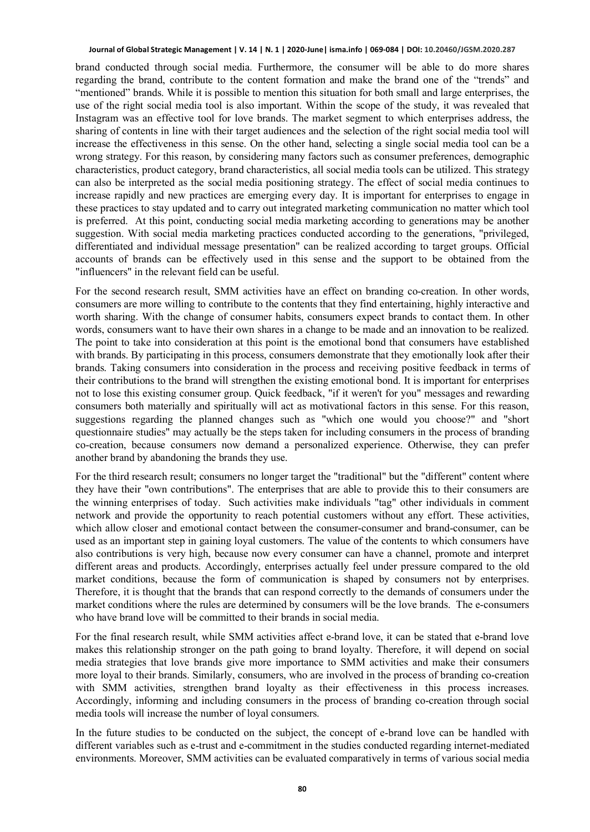brand conducted through social media. Furthermore, the consumer will be able to do more shares regarding the brand, contribute to the content formation and make the brand one of the "trends" and "mentioned" brands. While it is possible to mention this situation for both small and large enterprises, the use of the right social media tool is also important. Within the scope of the study, it was revealed that Instagram was an effective tool for love brands. The market segment to which enterprises address, the sharing of contents in line with their target audiences and the selection of the right social media tool will increase the effectiveness in this sense. On the other hand, selecting a single social media tool can be a wrong strategy. For this reason, by considering many factors such as consumer preferences, demographic characteristics, product category, brand characteristics, all social media tools can be utilized. This strategy can also be interpreted as the social media positioning strategy. The effect of social media continues to increase rapidly and new practices are emerging every day. It is important for enterprises to engage in these practices to stay updated and to carry out integrated marketing communication no matter which tool is preferred. At this point, conducting social media marketing according to generations may be another suggestion. With social media marketing practices conducted according to the generations, "privileged, differentiated and individual message presentation" can be realized according to target groups. Official accounts of brands can be effectively used in this sense and the support to be obtained from the "influencers" in the relevant field can be useful.

For the second research result, SMM activities have an effect on branding co-creation. In other words, consumers are more willing to contribute to the contents that they find entertaining, highly interactive and worth sharing. With the change of consumer habits, consumers expect brands to contact them. In other words, consumers want to have their own shares in a change to be made and an innovation to be realized. The point to take into consideration at this point is the emotional bond that consumers have established with brands. By participating in this process, consumers demonstrate that they emotionally look after their brands. Taking consumers into consideration in the process and receiving positive feedback in terms of their contributions to the brand will strengthen the existing emotional bond. It is important for enterprises not to lose this existing consumer group. Quick feedback, "if it weren't for you" messages and rewarding consumers both materially and spiritually will act as motivational factors in this sense. For this reason, suggestions regarding the planned changes such as "which one would you choose?" and "short questionnaire studies" may actually be the steps taken for including consumers in the process of branding co-creation, because consumers now demand a personalized experience. Otherwise, they can prefer another brand by abandoning the brands they use.

For the third research result; consumers no longer target the "traditional" but the "different" content where they have their "own contributions". The enterprises that are able to provide this to their consumers are the winning enterprises of today. Such activities make individuals "tag" other individuals in comment network and provide the opportunity to reach potential customers without any effort. These activities, which allow closer and emotional contact between the consumer-consumer and brand-consumer, can be used as an important step in gaining loyal customers. The value of the contents to which consumers have also contributions is very high, because now every consumer can have a channel, promote and interpret different areas and products. Accordingly, enterprises actually feel under pressure compared to the old market conditions, because the form of communication is shaped by consumers not by enterprises. Therefore, it is thought that the brands that can respond correctly to the demands of consumers under the market conditions where the rules are determined by consumers will be the love brands. The e-consumers who have brand love will be committed to their brands in social media.

For the final research result, while SMM activities affect e-brand love, it can be stated that e-brand love makes this relationship stronger on the path going to brand loyalty. Therefore, it will depend on social media strategies that love brands give more importance to SMM activities and make their consumers more loyal to their brands. Similarly, consumers, who are involved in the process of branding co-creation with SMM activities, strengthen brand loyalty as their effectiveness in this process increases. Accordingly, informing and including consumers in the process of branding co-creation through social media tools will increase the number of loyal consumers.

In the future studies to be conducted on the subject, the concept of e-brand love can be handled with different variables such as e-trust and e-commitment in the studies conducted regarding internet-mediated environments. Moreover, SMM activities can be evaluated comparatively in terms of various social media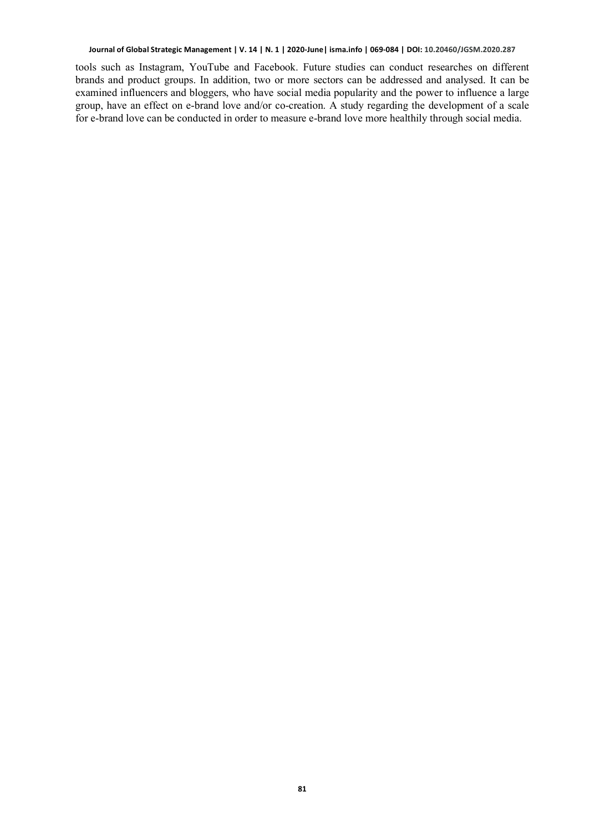tools such as Instagram, YouTube and Facebook. Future studies can conduct researches on different brands and product groups. In addition, two or more sectors can be addressed and analysed. It can be examined influencers and bloggers, who have social media popularity and the power to influence a large group, have an effect on e-brand love and/or co-creation. A study regarding the development of a scale for e-brand love can be conducted in order to measure e-brand love more healthily through social media.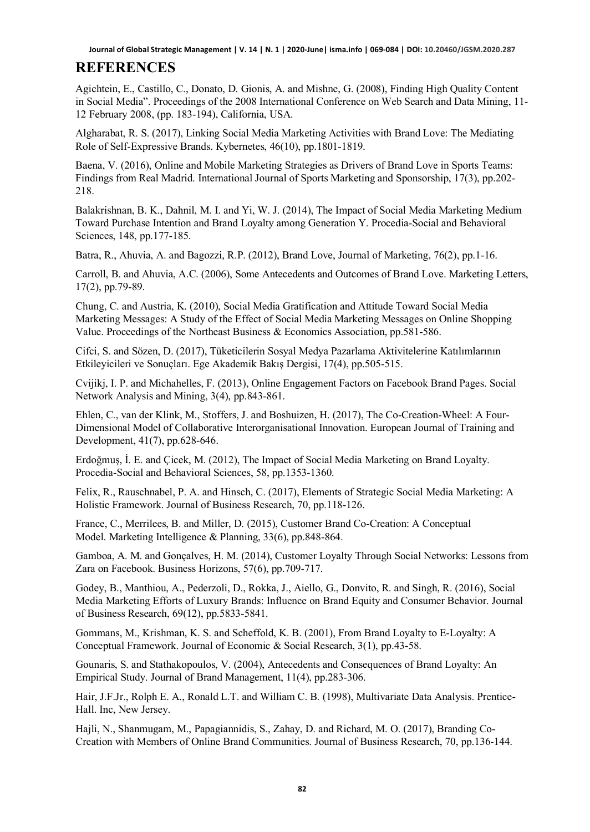#### **REFERENCES**

Agichtein, E., Castillo, C., Donato, D. Gionis, A. and Mishne, G. (2008), Finding High Quality Content in Social Media". Proceedings of the 2008 International Conference on Web Search and Data Mining, 11- 12 February 2008, (pp. 183-194), California, USA.

Algharabat, R. S. (2017), Linking Social Media Marketing Activities with Brand Love: The Mediating Role of Self-Expressive Brands. Kybernetes, 46(10), pp.1801-1819.

Baena, V. (2016), Online and Mobile Marketing Strategies as Drivers of Brand Love in Sports Teams: Findings from Real Madrid. International Journal of Sports Marketing and Sponsorship, 17(3), pp.202- 218.

Balakrishnan, B. K., Dahnil, M. I. and Yi, W. J. (2014), The Impact of Social Media Marketing Medium Toward Purchase Intention and Brand Loyalty among Generation Y. Procedia-Social and Behavioral Sciences, 148, pp.177-185.

Batra, R., Ahuvia, A. and Bagozzi, R.P. (2012), Brand Love, Journal of Marketing, 76(2), pp.1-16.

Carroll, B. and Ahuvia, A.C. (2006), Some Antecedents and Outcomes of Brand Love. Marketing Letters, 17(2), pp.79-89.

Chung, C. and Austria, K. (2010), Social Media Gratification and Attitude Toward Social Media Marketing Messages: A Study of the Effect of Social Media Marketing Messages on Online Shopping Value. Proceedings of the Northeast Business & Economics Association, pp.581-586.

Cifci, S. and Sözen, D. (2017), Tüketicilerin Sosyal Medya Pazarlama Aktivitelerine Katılımlarının Etkileyicileri ve Sonuçları. Ege Akademik Bakış Dergisi, 17(4), pp.505-515.

Cvijikj, I. P. and Michahelles, F. (2013), Online Engagement Factors on Facebook Brand Pages. Social Network Analysis and Mining, 3(4), pp.843-861.

Ehlen, C., van der Klink, M., Stoffers, J. and Boshuizen, H. (2017), The Co-Creation-Wheel: A Four-Dimensional Model of Collaborative Interorganisational Innovation. European Journal of Training and Development, 41(7), pp.628-646.

Erdoğmuş, İ. E. and Çicek, M. (2012), The Impact of Social Media Marketing on Brand Loyalty. Procedia-Social and Behavioral Sciences, 58, pp.1353-1360.

Felix, R., Rauschnabel, P. A. and Hinsch, C. (2017), Elements of Strategic Social Media Marketing: A Holistic Framework. Journal of Business Research, 70, pp.118-126.

France, C., Merrilees, B. and Miller, D. (2015), Customer Brand Co-Creation: A Conceptual Model. Marketing Intelligence & Planning, 33(6), pp.848-864.

Gamboa, A. M. and Gonçalves, H. M. (2014), Customer Loyalty Through Social Networks: Lessons from Zara on Facebook. Business Horizons, 57(6), pp.709-717.

Godey, B., Manthiou, A., Pederzoli, D., Rokka, J., Aiello, G., Donvito, R. and Singh, R. (2016), Social Media Marketing Efforts of Luxury Brands: Influence on Brand Equity and Consumer Behavior. Journal of Business Research, 69(12), pp.5833-5841.

Gommans, M., Krishman, K. S. and Scheffold, K. B. (2001), From Brand Loyalty to E-Loyalty: A Conceptual Framework. Journal of Economic & Social Research, 3(1), pp.43-58.

Gounaris, S. and Stathakopoulos, V. (2004), Antecedents and Consequences of Brand Loyalty: An Empirical Study. Journal of Brand Management, 11(4), pp.283-306.

Hair, J.F.Jr., Rolph E. A., Ronald L.T. and William C. B. (1998), Multivariate Data Analysis. Prentice-Hall. Inc, New Jersey.

Hajli, N., Shanmugam, M., Papagiannidis, S., Zahay, D. and Richard, M. O. (2017), Branding Co-Creation with Members of Online Brand Communities. Journal of Business Research, 70, pp.136-144.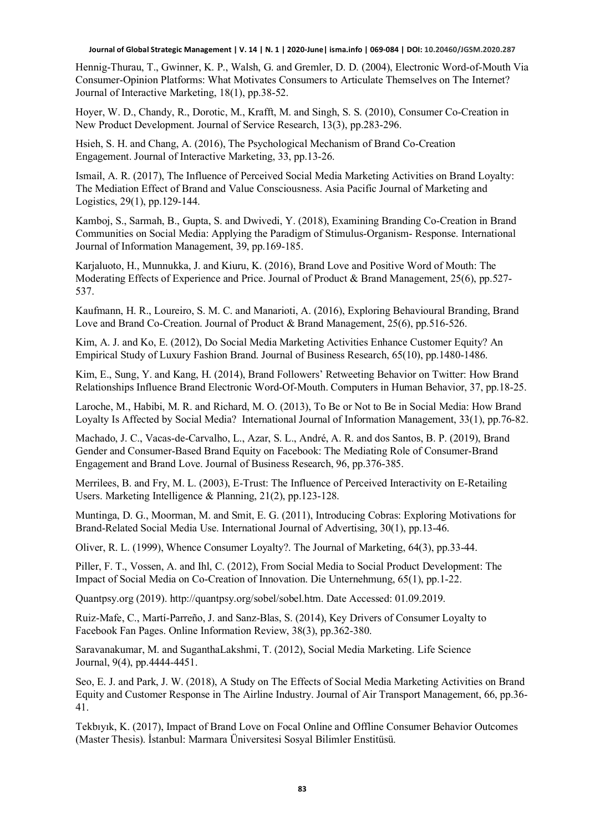Hennig-Thurau, T., Gwinner, K. P., Walsh, G. and Gremler, D. D. (2004), Electronic Word-of-Mouth Via Consumer-Opinion Platforms: What Motivates Consumers to Articulate Themselves on The Internet? Journal of Interactive Marketing, 18(1), pp.38-52.

Hoyer, W. D., Chandy, R., Dorotic, M., Krafft, M. and Singh, S. S. (2010), Consumer Co-Creation in New Product Development. Journal of Service Research, 13(3), pp.283-296.

Hsieh, S. H. and Chang, A. (2016), The Psychological Mechanism of Brand Co-Creation Engagement. Journal of Interactive Marketing, 33, pp.13-26.

Ismail, A. R. (2017), The Influence of Perceived Social Media Marketing Activities on Brand Loyalty: The Mediation Effect of Brand and Value Consciousness. Asia Pacific Journal of Marketing and Logistics, 29(1), pp.129-144.

Kamboj, S., Sarmah, B., Gupta, S. and Dwivedi, Y. (2018), Examining Branding Co-Creation in Brand Communities on Social Media: Applying the Paradigm of Stimulus-Organism- Response. International Journal of Information Management, 39, pp.169-185.

Karjaluoto, H., Munnukka, J. and Kiuru, K. (2016), Brand Love and Positive Word of Mouth: The Moderating Effects of Experience and Price. Journal of Product & Brand Management, 25(6), pp.527- 537.

Kaufmann, H. R., Loureiro, S. M. C. and Manarioti, A. (2016), Exploring Behavioural Branding, Brand Love and Brand Co-Creation. Journal of Product & Brand Management, 25(6), pp.516-526.

Kim, A. J. and Ko, E. (2012), Do Social Media Marketing Activities Enhance Customer Equity? An Empirical Study of Luxury Fashion Brand. Journal of Business Research, 65(10), pp.1480-1486.

Kim, E., Sung, Y. and Kang, H. (2014), Brand Followers' Retweeting Behavior on Twitter: How Brand Relationships Influence Brand Electronic Word-Of-Mouth. Computers in Human Behavior, 37, pp.18-25.

Laroche, M., Habibi, M. R. and Richard, M. O. (2013), To Be or Not to Be in Social Media: How Brand Loyalty Is Affected by Social Media? International Journal of Information Management, 33(1), pp.76-82.

Machado, J. C., Vacas-de-Carvalho, L., Azar, S. L., André, A. R. and dos Santos, B. P. (2019), Brand Gender and Consumer-Based Brand Equity on Facebook: The Mediating Role of Consumer-Brand Engagement and Brand Love. Journal of Business Research, 96, pp.376-385.

Merrilees, B. and Fry, M. L. (2003), E-Trust: The Influence of Perceived Interactivity on E-Retailing Users. Marketing Intelligence & Planning, 21(2), pp.123-128.

Muntinga, D. G., Moorman, M. and Smit, E. G. (2011), Introducing Cobras: Exploring Motivations for Brand-Related Social Media Use. International Journal of Advertising, 30(1), pp.13-46.

Oliver, R. L. (1999), Whence Consumer Loyalty?. The Journal of Marketing, 64(3), pp.33-44.

Piller, F. T., Vossen, A. and Ihl, C. (2012), From Social Media to Social Product Development: The Impact of Social Media on Co-Creation of Innovation. Die Unternehmung, 65(1), pp.1-22.

Quantpsy.org (2019). http://quantpsy.org/sobel/sobel.htm. Date Accessed: 01.09.2019.

Ruiz-Mafe, C., Martí-Parreño, J. and Sanz-Blas, S. (2014), Key Drivers of Consumer Loyalty to Facebook Fan Pages. Online Information Review, 38(3), pp.362-380.

Saravanakumar, M. and SuganthaLakshmi, T. (2012), Social Media Marketing. Life Science Journal, 9(4), pp.4444-4451.

Seo, E. J. and Park, J. W. (2018), A Study on The Effects of Social Media Marketing Activities on Brand Equity and Customer Response in The Airline Industry. Journal of Air Transport Management, 66, pp.36- 41.

Tekbıyık, K. (2017), Impact of Brand Love on Focal Online and Offline Consumer Behavior Outcomes (Master Thesis). İstanbul: Marmara Üniversitesi Sosyal Bilimler Enstitüsü.